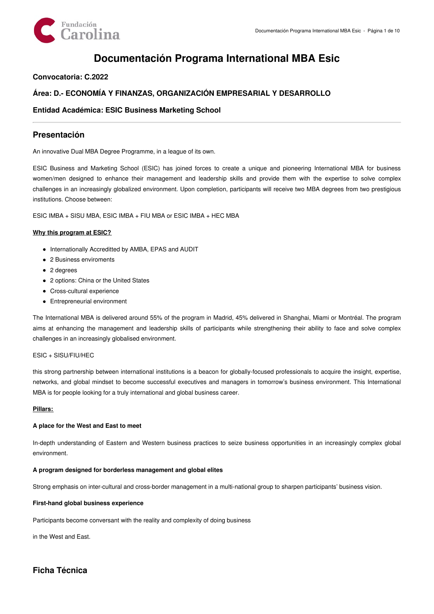

# **Documentación Programa International MBA Esic**

### **Convocatoria: C.2022**

### **Área: D.- ECONOMÍA Y FINANZAS, ORGANIZACIÓN EMPRESARIAL Y DESARROLLO**

### **Entidad Académica: ESIC Business Marketing School**

### **Presentación**

An innovative Dual MBA Degree Programme, in a league of its own.

ESIC Business and Marketing School (ESIC) has joined forces to create a unique and pioneering International MBA for business women/men designed to enhance their management and leadership skills and provide them with the expertise to solve complex challenges in an increasingly globalized environment. Upon completion, participants will receive two MBA degrees from two prestigious institutions. Choose between:

ESIC IMBA + SISU MBA, ESIC IMBA + FIU MBA or ESIC IMBA + HEC MBA

#### **Why this program at ESIC?**

- Internationally Accreditted by AMBA, EPAS and AUDIT
- 2 Business enviroments
- 2 degrees
- 2 options: China or the United States
- Cross-cultural experience
- Entrepreneurial environment

The International MBA is delivered around 55% of the program in Madrid, 45% delivered in Shanghai, Miami or Montréal. The program aims at enhancing the management and leadership skills of participants while strengthening their ability to face and solve complex challenges in an increasingly globalised environment.

#### ESIC + SISU/FIU/HEC

this strong partnership between international institutions is a beacon for globally-focused professionals to acquire the insight, expertise, networks, and global mindset to become successful executives and managers in tomorrow's business environment. This International MBA is for people looking for a truly international and global business career.

#### **Pillars:**

#### **A place for the West and East to meet**

In-depth understanding of Eastern and Western business practices to seize business opportunities in an increasingly complex global environment.

#### **A program designed for borderless management and global elites**

Strong emphasis on inter-cultural and cross-border management in a multi-national group to sharpen participants' business vision.

#### **First-hand global business experience**

Participants become conversant with the reality and complexity of doing business

in the West and East.

## **Ficha Técnica**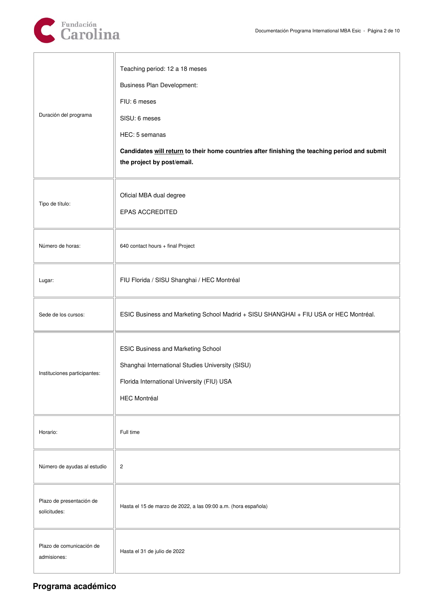

| Duración del programa                    | Teaching period: 12 a 18 meses<br><b>Business Plan Development:</b><br>FIU: 6 meses<br>SISU: 6 meses<br>HEC: 5 semanas<br>Candidates will return to their home countries after finishing the teaching period and submit<br>the project by post/email. |
|------------------------------------------|-------------------------------------------------------------------------------------------------------------------------------------------------------------------------------------------------------------------------------------------------------|
| Tipo de título:                          | Oficial MBA dual degree<br><b>EPAS ACCREDITED</b>                                                                                                                                                                                                     |
| Número de horas:                         | 640 contact hours + final Project                                                                                                                                                                                                                     |
| Lugar:                                   | FIU Florida / SISU Shanghai / HEC Montréal                                                                                                                                                                                                            |
| Sede de los cursos:                      | ESIC Business and Marketing School Madrid + SISU SHANGHAI + FIU USA or HEC Montréal.                                                                                                                                                                  |
| Instituciones participantes:             | <b>ESIC Business and Marketing School</b><br>Shanghai International Studies University (SISU)<br>Florida International University (FIU) USA<br><b>HEC Montréal</b>                                                                                    |
| Horario:                                 | Full time                                                                                                                                                                                                                                             |
| Número de ayudas al estudio              | $\overline{c}$                                                                                                                                                                                                                                        |
| Plazo de presentación de<br>solicitudes: | Hasta el 15 de marzo de 2022, a las 09:00 a.m. (hora española)                                                                                                                                                                                        |
| Plazo de comunicación de<br>admisiones:  | Hasta el 31 de julio de 2022                                                                                                                                                                                                                          |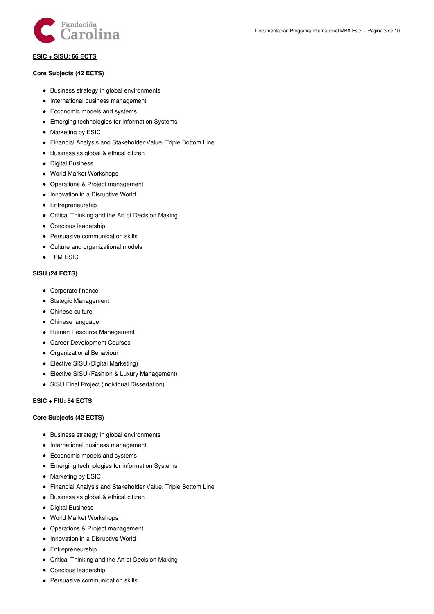

#### **ESIC + SISU: 66 ECTS**

#### **Core Subjects (42 ECTS)**

- Business strategy in global environments
- International business management
- Ecconomic models and systems
- Emerging technologies for information Systems
- Marketing by ESIC
- Financial Analysis and Stakeholder Value. Triple Bottom Line
- Business as global & ethical citizen
- Digital Business
- World Market Workshops
- Operations & Project management
- Innovation in a Disruptive World
- **•** Entrepreneurship
- Critical Thinking and the Art of Decision Making
- Concious leadership
- Persuasive communication skills
- Culture and organizational models
- TFM ESIC

#### **SISU (24 ECTS)**

- Corporate finance
- Stategic Management
- Chinese culture
- Chinese language
- Human Resource Management
- Career Development Courses
- Organizational Behaviour
- Elective SISU (Digital Marketing)
- Elective SISU (Fashion & Luxury Management)
- SISU Final Project (individual Dissertation)

#### **ESIC + FIU: 84 ECTS**

#### **Core Subjects (42 ECTS)**

- Business strategy in global environments
- International business management
- Ecconomic models and systems
- Emerging technologies for information Systems
- Marketing by ESIC
- Financial Analysis and Stakeholder Value. Triple Bottom Line
- Business as global & ethical citizen
- Digital Business
- World Market Workshops
- Operations & Project management
- Innovation in a Disruptive World
- **•** Entrepreneurship
- Critical Thinking and the Art of Decision Making
- Concious leadership
- Persuasive communication skills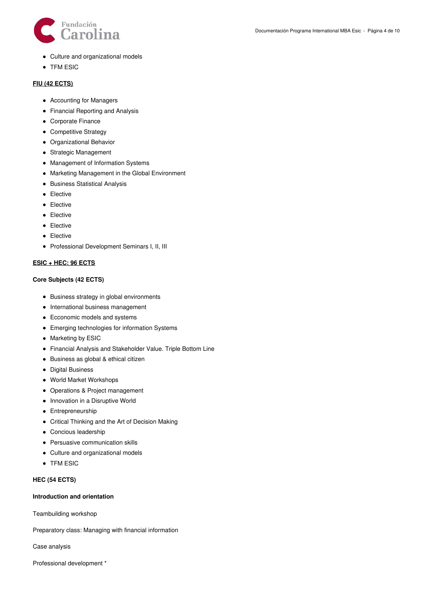

- Culture and organizational models
- TFM ESIC

#### **FIU (42 ECTS)**

- Accounting for Managers
- Financial Reporting and Analysis
- Corporate Finance
- Competitive Strategy
- Organizational Behavior
- Strategic Management
- Management of Information Systems
- Marketing Management in the Global Environment
- **•** Business Statistical Analysis
- **•** Elective
- **•** Elective
- Elective
- Elective
- Elective
- Professional Development Seminars I, II, III

#### **ESIC + HEC: 96 ECTS**

#### **Core Subjects (42 ECTS)**

- Business strategy in global environments
- International business management
- Ecconomic models and systems
- Emerging technologies for information Systems
- Marketing by ESIC
- Financial Analysis and Stakeholder Value. Triple Bottom Line
- Business as global & ethical citizen
- Digital Business
- World Market Workshops
- Operations & Project management
- Innovation in a Disruptive World
- **•** Entrepreneurship
- Critical Thinking and the Art of Decision Making
- Concious leadership
- Persuasive communication skills
- Culture and organizational models
- TFM ESIC

#### **HEC (54 ECTS)**

#### **Introduction and orientation**

Teambuilding workshop

Preparatory class: Managing with financial information

Case analysis

Professional development \*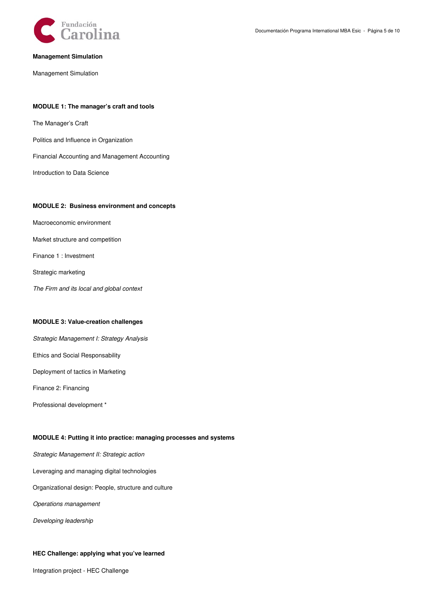

#### **Management Simulation**

Management Simulation

#### **MODULE 1: The manager's craft and tools**

The Manager's Craft

Politics and Influence in Organization

Financial Accounting and Management Accounting

Introduction to Data Science

#### **MODULE 2: Business environment and concepts**

Macroeconomic environment

Market structure and competition

Finance 1 : Investment

Strategic marketing

*The Firm and its local and global context*

#### **MODULE 3: Value-creation challenges**

*Strategic Management I: Strategy Analysis* Ethics and Social Responsability Deployment of tactics in Marketing

Finance 2: Financing

Professional development \*

#### **MODULE 4: Putting it into practice: managing processes and systems**

*Strategic Management II: Strategic action*

Leveraging and managing digital technologies

Organizational design: People, structure and culture

*Operations management*

*Developing leadership*

#### **HEC Challenge: applying what you've learned**

Integration project - HEC Challenge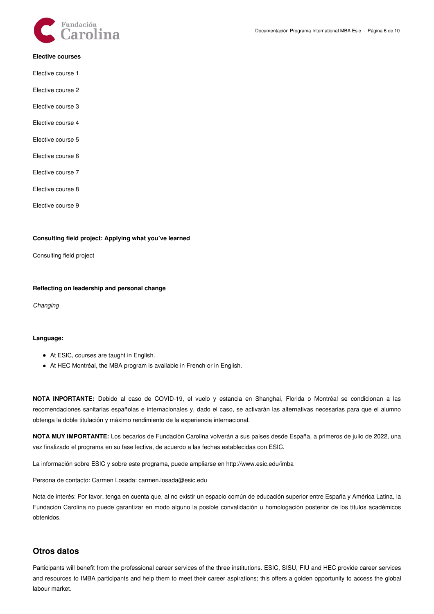

#### **Elective courses**

- Elective course 1
- Elective course 2
- Elective course 3
- Elective course 4
- Elective course 5
- Elective course 6
- Elective course 7
- Elective course 8
- Elective course 9

#### **Consulting field project: Applying what you've learned**

Consulting field project

#### **Reflecting on leadership and personal change**

*Changing*

#### **Language:**

- At ESIC, courses are taught in English.
- At HEC Montréal, the MBA program is available in French or in English.

**NOTA INPORTANTE:** Debido al caso de COVID-19, el vuelo y estancia en Shanghai, Florida o Montréal se condicionan a las recomendaciones sanitarias españolas e internacionales y, dado el caso, se activarán las alternativas necesarias para que el alumno obtenga la doble titulación y máximo rendimiento de la experiencia internacional.

**NOTA MUY IMPORTANTE:** Los becarios de Fundación Carolina volverán a sus países desde España, a primeros de julio de 2022, una vez finalizado el programa en su fase lectiva, de acuerdo a las fechas establecidas con ESIC.

La información sobre ESIC y sobre este programa, puede ampliarse en http://www.esic.edu/imba

Persona de contacto: Carmen Losada: carmen.losada@esic.edu

Nota de interés: Por favor, tenga en cuenta que, al no existir un espacio común de educación superior entre España y América Latina, la Fundación Carolina no puede garantizar en modo alguno la posible convalidación u homologación posterior de los títulos académicos obtenidos.

### **Otros datos**

Participants will benefit from the professional career services of the three institutions. ESIC, SISU, FIU and HEC provide career services and resources to IMBA participants and help them to meet their career aspirations; this offers a golden opportunity to access the global labour market.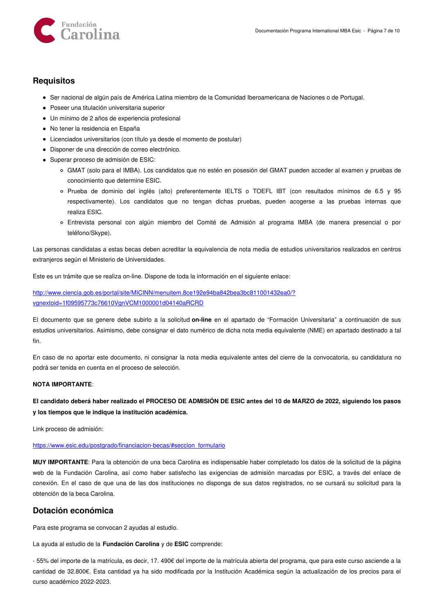

### **Requisitos**

- Ser nacional de algún país de América Latina miembro de la Comunidad Iberoamericana de Naciones o de Portugal.
- Poseer una titulación universitaria superior
- Un mínimo de 2 años de experiencia profesional
- No tener la residencia en España
- Licenciados universitarios (con título ya desde el momento de postular)
- Disponer de una dirección de correo electrónico.
- Superar proceso de admisión de ESIC:
	- GMAT (solo para el IMBA). Los candidatos que no estén en posesión del GMAT pueden acceder al examen y pruebas de conocimiento que determine ESIC.
	- Prueba de dominio del inglés (alto) preferentemente IELTS o TOEFL IBT (con resultados mínimos de 6.5 y 95 respectivamente). Los candidatos que no tengan dichas pruebas, pueden acogerse a las pruebas internas que realiza ESIC.
	- Entrevista personal con algún miembro del Comité de Admisión al programa IMBA (de manera presencial o por teléfono/Skype).

Las personas candidatas a estas becas deben acreditar la equivalencia de nota media de estudios universitarios realizados en centros extranjeros según el Ministerio de Universidades.

Este es un trámite que se realiza on-line. Dispone de toda la información en el siguiente enlace:

[http://www.ciencia.gob.es/portal/site/MICINN/menuitem.8ce192e94ba842bea3bc811001432ea0/?](http://www.ciencia.gob.es/portal/site/MICINN/menuitem.8ce192e94ba842bea3bc811001432ea0/?vgnextoid=1f09595773c76610VgnVCM1000001d04140aRCRD) vgnextoid=1f09595773c76610VgnVCM1000001d04140aRCRD

El documento que se genere debe subirlo a la solicitud **on-line** en el apartado de "Formación Universitaria" a continuación de sus estudios universitarios. Asimismo, debe consignar el dato numérico de dicha nota media equivalente (NME) en apartado destinado a tal fin.

En caso de no aportar este documento, ni consignar la nota media equivalente antes del cierre de la convocatoria, su candidatura no podrá ser tenida en cuenta en el proceso de selección.

#### **NOTA IMPORTANTE**:

### El candidato deberá haber realizado el PROCESO DE ADMISIÓN DE ESIC antes del 10 de MARZO de 2022, siguiendo los pasos **y los tiempos que le indique la institución académica.**

Link proceso de admisión:

#### [https://www.esic.edu/postgrado/financiacion-becas/#seccion\\_formulario](https://www.esic.edu/postgrado/financiacion-becas/#seccion_formulario)

**MUY IMPORTANTE**: Para la obtención de una beca Carolina es indispensable haber completado los datos de la solicitud de la página web de la Fundación Carolina, así como haber satisfecho las exigencias de admisión marcadas por ESIC, a través del enlace de conexión. En el caso de que una de las dos instituciones no disponga de sus datos registrados, no se cursará su solicitud para la obtención de la beca Carolina.

### **Dotación económica**

Para este programa se convocan 2 ayudas al estudio.

La ayuda al estudio de la **Fundación Carolina** y de **ESIC** comprende:

- 55% del importe de la matrícula, es decir, 17. 490€ del importe de la matrícula abierta del programa, que para este curso asciende a la cantidad de 32.800€. Esta cantidad ya ha sido modificada por la Institución Académica según la actualización de los precios para el curso académico 2022-2023.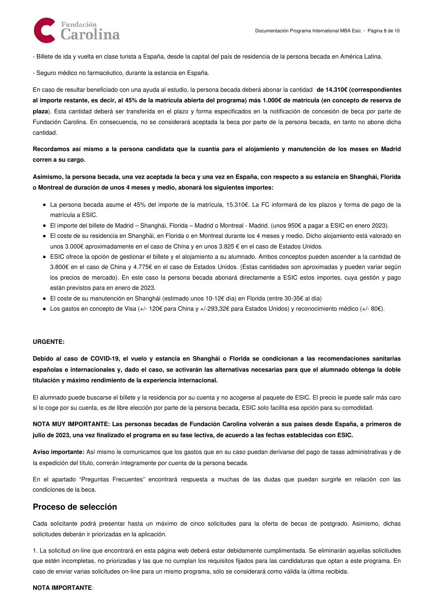

- Billete de ida y vuelta en clase turista a España, desde la capital del país de residencia de la persona becada en América Latina.

- Seguro médico no farmacéutico, durante la estancia en España.

En caso de resultar beneficiado con una ayuda al estudio, la persona becada deberá abonar la cantidad **de 14.310€ (correspondientes** al importe restante, es decir, al 45% de la matrícula abierta del programa) más 1.000€ de matrícula (en concepto de reserva de **plaza**). Esta cantidad deberá ser transferida en el plazo y forma especificados en la notificación de concesión de beca por parte de Fundación Carolina. En consecuencia, no se considerará aceptada la beca por parte de la persona becada, en tanto no abone dicha cantidad.

Recordamos así mismo a la persona candidata que la cuantía para el alojamiento y manutención de los meses en Madrid **corren a su cargo.**

Asimismo, la persona becada, una vez aceptada la beca y una vez en España, con respecto a su estancia en Shanghái, Florida **o Montreal de duración de unos 4 meses y medio, abonará los siguientes importes:**

- La persona becada asume el 45% del importe de la matrícula, 15.310€. La FC informará de los plazos y forma de pago de la matrícula a ESIC.
- El importe del billete de Madrid Shanghái, Florida Madrid o Montreal Madrid. (unos 950€ a pagar a ESIC en enero 2023).
- El coste de su residencia en Shanghái, en Florida o en Montreal durante los 4 meses y medio. Dicho alojamiento está valorado en unos 3.000€ aproximadamente en el caso de China y en unos 3.825 € en el caso de Estados Unidos.
- ESIC ofrece la opción de gestionar el billete y el alojamiento a su alumnado. Ambos conceptos pueden ascender a la cantidad de 3.800€ en el caso de China y 4.775€ en el caso de Estados Unidos. (Estas cantidades son aproximadas y pueden variar según los precios de mercado). En este caso la persona becada abonará directamente a ESIC estos importes, cuya gestión y pago están previstos para en enero de 2023.
- El coste de su manutención en Shanghái (estimado unos 10-12€ día) en Florida (entre 30-35€ al día)
- Los gastos en concepto de Visa (+/- 120€ para China y +/-293,32€ para Estados Unidos) y reconocimiento médico (+/- 80€).

#### **URGENTE:**

Debido al caso de COVID-19, el vuelo y estancia en Shanghái o Florida se condicionan a las recomendaciones sanitarias españolas e internacionales y, dado el caso, se activarán las alternativas necesarias para que el alumnado obtenga la doble **titulación y máximo rendimiento de la experiencia internacional.**

El alumnado puede buscarse el billete y la residencia por su cuenta y no acogerse al paquete de ESIC. El precio le puede salir más caro si lo coge por su cuenta, es de libre elección por parte de la persona becada, ESIC solo facilita esa opción para su comodidad.

NOTA MUY IMPORTANTE: Las personas becadas de Fundación Carolina volverán a sus países desde España, a primeros de julio de 2023, una vez finalizado el programa en su fase lectiva, de acuerdo a las fechas establecidas con ESIC.

**Aviso importante:** Así mismo le comunicamos que los gastos que en su caso puedan derivarse del pago de tasas administrativas y de la expedición del título, correrán íntegramente por cuenta de la persona becada.

En el apartado "Preguntas Frecuentes" encontrará respuesta a muchas de las dudas que puedan surgirle en relación con las condiciones de la beca.

### **Proceso de selección**

Cada solicitante podrá presentar hasta un máximo de cinco solicitudes para la oferta de becas de postgrado. Asimismo, dichas solicitudes deberán ir priorizadas en la aplicación.

1. La solicitud on-line que encontrará en esta página web deberá estar debidamente cumplimentada. Se eliminarán aquellas solicitudes que estén incompletas, no priorizadas y las que no cumplan los requisitos fijados para las candidaturas que optan a este programa. En caso de enviar varias solicitudes on-line para un mismo programa, sólo se considerará como válida la última recibida.

#### **NOTA IMPORTANTE**: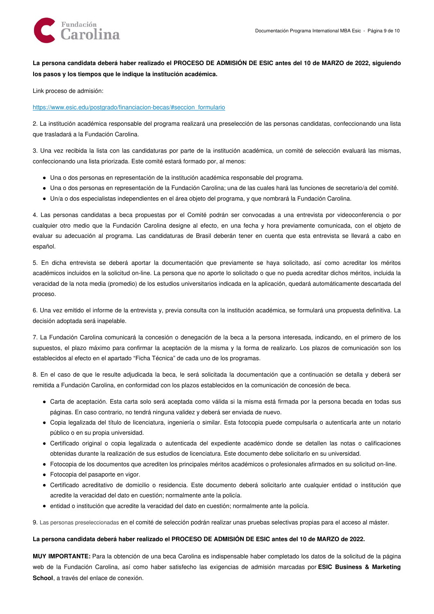

### La persona candidata deberá haber realizado el PROCESO DE ADMISIÓN DE ESIC antes del 10 de MARZO de 2022, siguiendo **los pasos y los tiempos que le indique la institución académica.**

Link proceso de admisión:

[https://www.esic.edu/postgrado/financiacion-becas/#seccion\\_formulario](https://www.esic.edu/postgrado/financiacion-becas/#seccion_formulario)

2. La institución académica responsable del programa realizará una preselección de las personas candidatas, confeccionando una lista que trasladará a la Fundación Carolina.

3. Una vez recibida la lista con las candidaturas por parte de la institución académica, un comité de selección evaluará las mismas, confeccionando una lista priorizada. Este comité estará formado por, al menos:

- Una o dos personas en representación de la institución académica responsable del programa.
- Una o dos personas en representación de la Fundación Carolina; una de las cuales hará las funciones de secretario/a del comité.
- Un/a o dos especialistas independientes en el área objeto del programa, y que nombrará la Fundación Carolina.

4. Las personas candidatas a beca propuestas por el Comité podrán ser convocadas a una entrevista por videoconferencia o por cualquier otro medio que la Fundación Carolina designe al efecto, en una fecha y hora previamente comunicada, con el objeto de evaluar su adecuación al programa. Las candidaturas de Brasil deberán tener en cuenta que esta entrevista se llevará a cabo en español.

5. En dicha entrevista se deberá aportar la documentación que previamente se haya solicitado, así como acreditar los méritos académicos incluidos en la solicitud on-line. La persona que no aporte lo solicitado o que no pueda acreditar dichos méritos, incluida la veracidad de la nota media (promedio) de los estudios universitarios indicada en la aplicación, quedará automáticamente descartada del proceso.

6. Una vez emitido el informe de la entrevista y, previa consulta con la institución académica, se formulará una propuesta definitiva. La decisión adoptada será inapelable.

7. La Fundación Carolina comunicará la concesión o denegación de la beca a la persona interesada, indicando, en el primero de los supuestos, el plazo máximo para confirmar la aceptación de la misma y la forma de realizarlo. Los plazos de comunicación son los establecidos al efecto en el apartado "Ficha Técnica" de cada uno de los programas.

8. En el caso de que le resulte adjudicada la beca, le será solicitada la documentación que a continuación se detalla y deberá ser remitida a Fundación Carolina, en conformidad con los plazos establecidos en la comunicación de concesión de beca.

- Carta de aceptación. Esta carta solo será aceptada como válida si la misma está firmada por la persona becada en todas sus páginas. En caso contrario, no tendrá ninguna validez y deberá ser enviada de nuevo.
- Copia legalizada del título de licenciatura, ingeniería o similar. Esta fotocopia puede compulsarla o autenticarla ante un notario público o en su propia universidad.
- Certificado original o copia legalizada o autenticada del expediente académico donde se detallen las notas o calificaciones obtenidas durante la realización de sus estudios de licenciatura. Este documento debe solicitarlo en su universidad.
- Fotocopia de los documentos que acrediten los principales méritos académicos o profesionales afirmados en su solicitud on-line.
- Fotocopia del pasaporte en vigor.
- Certificado acreditativo de domicilio o residencia. Este documento deberá solicitarlo ante cualquier entidad o institución que acredite la veracidad del dato en cuestión; normalmente ante la policía.
- entidad o institución que acredite la veracidad del dato en cuestión; normalmente ante la policía.

9. Las personas preseleccionadas en el comité de selección podrán realizar unas pruebas selectivas propias para el acceso al máster.

### La persona candidata deberá haber realizado el PROCESO DE ADMISIÓN DE ESIC antes del 10 de MARZO de 2022.

**MUY IMPORTANTE:** Para la obtención de una beca Carolina es indispensable haber completado los datos de la solicitud de la página web de la Fundación Carolina, así como haber satisfecho las exigencias de admisión marcadas por **ESIC Business & Marketing School**, a través del enlace de conexión.